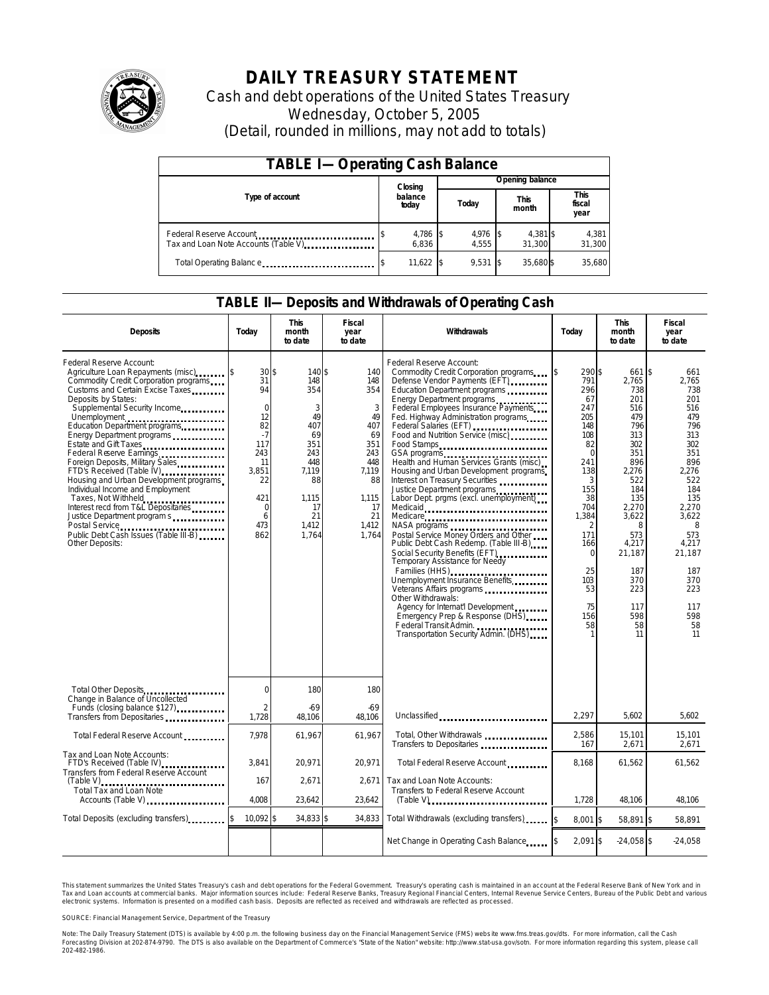

# **DAILY TREASURY STATEMENT**

Cash and debt operations of the United States Treasury Wednesday, October 5, 2005 (Detail, rounded in millions, may not add to totals)

| <b>TABLE I-Operating Cash Balance</b>                            |         |                   |  |                     |  |                      |  |                               |
|------------------------------------------------------------------|---------|-------------------|--|---------------------|--|----------------------|--|-------------------------------|
|                                                                  | Closing |                   |  | Opening balance     |  |                      |  |                               |
| Type of account                                                  |         | balance<br>today  |  | Today               |  | <b>This</b><br>month |  | <b>This</b><br>fiscal<br>year |
| Federal Reserve Account<br>Tax and Loan Note Accounts (Table V). |         | 4,786 \$<br>6.836 |  | $4,976$ \$<br>4.555 |  | 4,381 \$<br>31.300   |  | 4,381<br>31.300               |
| Total Operating Balance                                          |         | 11,622 \$         |  | $9.531$ \$          |  | 35,680 \$            |  | 35.680                        |

### **TABLE II—Deposits and Withdrawals of Operating Cash**

| <b>Deposits</b>                                                                                                                                                                                                                                                                                                                                                                                                                                                                                                                                                                                                                                 | Today                                                                                                                                    | <b>This</b><br>month<br>to date                                                                                         | <b>Fiscal</b><br>year<br>to date                                                                                     | Withdrawals                                                                                                                                                                                                                                                                                                                                                                                                                                                                                                                                                                                                                                                                                                                                                                                                                                                                                                                                                                    | Today                                                                                                                                                                                    | <b>This</b><br>month<br>to date                                                                                                                                                                              | Fiscal<br>year<br>to date                                                                                                                                                                                 |
|-------------------------------------------------------------------------------------------------------------------------------------------------------------------------------------------------------------------------------------------------------------------------------------------------------------------------------------------------------------------------------------------------------------------------------------------------------------------------------------------------------------------------------------------------------------------------------------------------------------------------------------------------|------------------------------------------------------------------------------------------------------------------------------------------|-------------------------------------------------------------------------------------------------------------------------|----------------------------------------------------------------------------------------------------------------------|--------------------------------------------------------------------------------------------------------------------------------------------------------------------------------------------------------------------------------------------------------------------------------------------------------------------------------------------------------------------------------------------------------------------------------------------------------------------------------------------------------------------------------------------------------------------------------------------------------------------------------------------------------------------------------------------------------------------------------------------------------------------------------------------------------------------------------------------------------------------------------------------------------------------------------------------------------------------------------|------------------------------------------------------------------------------------------------------------------------------------------------------------------------------------------|--------------------------------------------------------------------------------------------------------------------------------------------------------------------------------------------------------------|-----------------------------------------------------------------------------------------------------------------------------------------------------------------------------------------------------------|
| Federal Reserve Account:<br>Agriculture Loan Repayments (misc)<br>Commodity Credit Corporation programs<br>Customs and Certain Excise Taxes<br>Deposits by States:<br>Supplemental Security Income<br>Unemployment<br>Education Department programs<br>Energy Department programs<br>Estate and Gift Taxes<br>Federal Reserve Earnings<br>Foreign Deposits, Military Sales<br>FTD's Received (Table IV)<br>Housing and Urban Development programs<br>Individual Income and Employment<br>Taxes, Not Withheld<br>Interest recd from T&L Depositaries<br>Justice Department program s<br>Public Debt Cash Issues (Table III-B)<br>Other Deposits: | $30\text{ s}$<br>31<br>94<br>$\mathbf 0$<br>12<br>82<br>$-7$<br>117<br>243<br>11<br>3,851<br>22<br>421<br>$\mathbf 0$<br>6<br>473<br>862 | 140 \$<br>148<br>354<br>3<br>49<br>407<br>69<br>351<br>243<br>448<br>7,119<br>88<br>1.115<br>17<br>21<br>1,412<br>1.764 | 140<br>148<br>354<br>3<br>49<br>407<br>69<br>351<br>243<br>448<br>7,119<br>88<br>1.115<br>17<br>21<br>1.412<br>1.764 | Federal Reserve Account:<br>Commodity Credit Corporation programs<br>Defense Vendor Payments (EFT)<br>Education Department programs<br>Energy Department programs<br>Federal Employees Insurance Payments<br>Fed. Highway Administration programs<br>Federal Salaries (EFT)<br>Federal Salaries (EFT)<br>Food and Nutrition Service (misc)<br>Food Stamps<br>GSA programs<br>Health and Human Services Grants (misc)<br>Housing and Urban Development programs<br>Interest on Treasury Securities<br>Justice Department programs<br>Labor Dept. prgms (excl. unemployment)<br>Medicaid<br>Medicare<br>Postal Service Money Orders and Other<br>Public Debt Cash Redemp. (Table III-B)<br>Social Security Benefits (EFT)<br>Temporary Assistance for Needy<br>Families (HHS)<br>Unemployment Insurance Benefits<br>Other Withdrawals:<br>Agency for Internat'l Development<br>Emergency Prep & Response (DHS)<br>Federal Transit Admin.<br>Transportation Security Admin. (DHS) | 290 \$<br>791<br>296<br>67<br>247<br>205<br>148<br>108<br>82<br>$\Omega$<br>241<br>138<br>3<br>155<br>38<br>704<br>1,384<br>171<br>166<br>$\Omega$<br>25<br>103<br>53<br>75<br>156<br>58 | 661 \$<br>2,765<br>738<br>201<br>516<br>479<br>796<br>313<br>302<br>351<br>896<br>2,276<br>522<br>184<br>135<br>2,270<br>3.622<br>8<br>573<br>4,217<br>21,187<br>187<br>370<br>223<br>117<br>598<br>58<br>11 | 661<br>2,765<br>738<br>201<br>516<br>479<br>796<br>313<br>302<br>351<br>896<br>2,276<br>522<br>184<br>135<br>2.270<br>3.622<br>8<br>573<br>4,217<br>21,187<br>187<br>370<br>223<br>117<br>598<br>58<br>11 |
| Total Other Deposits<br>Change in Balance of Uncollected                                                                                                                                                                                                                                                                                                                                                                                                                                                                                                                                                                                        | $\Omega$                                                                                                                                 | 180                                                                                                                     | 180                                                                                                                  |                                                                                                                                                                                                                                                                                                                                                                                                                                                                                                                                                                                                                                                                                                                                                                                                                                                                                                                                                                                |                                                                                                                                                                                          |                                                                                                                                                                                                              |                                                                                                                                                                                                           |
| Funds (closing balance \$127)<br>Funds (closing balance \$127)<br>Transfers from Depositaries                                                                                                                                                                                                                                                                                                                                                                                                                                                                                                                                                   | $\overline{2}$<br>1,728                                                                                                                  | $-69$<br>48,106                                                                                                         | $-69$<br>48,106                                                                                                      | Unclassified                                                                                                                                                                                                                                                                                                                                                                                                                                                                                                                                                                                                                                                                                                                                                                                                                                                                                                                                                                   | 2,297                                                                                                                                                                                    | 5,602                                                                                                                                                                                                        | 5,602                                                                                                                                                                                                     |
| Total Federal Reserve Account                                                                                                                                                                                                                                                                                                                                                                                                                                                                                                                                                                                                                   | 7,978                                                                                                                                    | 61,967                                                                                                                  | 61,967                                                                                                               | Total, Other Withdrawals<br>Transfers to Depositaries                                                                                                                                                                                                                                                                                                                                                                                                                                                                                                                                                                                                                                                                                                                                                                                                                                                                                                                          | 2,586<br>167                                                                                                                                                                             | 15,101<br>2,671                                                                                                                                                                                              | 15,101<br>2,671                                                                                                                                                                                           |
| Tax and Loan Note Accounts:<br>FTD's Received (Table IV)<br>Transfers from Federal Reserve Account                                                                                                                                                                                                                                                                                                                                                                                                                                                                                                                                              | 3.841                                                                                                                                    | 20,971                                                                                                                  | 20.971                                                                                                               | Total Federal Reserve Account.                                                                                                                                                                                                                                                                                                                                                                                                                                                                                                                                                                                                                                                                                                                                                                                                                                                                                                                                                 | 8.168                                                                                                                                                                                    | 61.562                                                                                                                                                                                                       | 61,562                                                                                                                                                                                                    |
| $(Table V)$<br><b>Total Tax and Loan Note</b><br>Accounts (Table V)                                                                                                                                                                                                                                                                                                                                                                                                                                                                                                                                                                             | 167<br>4.008                                                                                                                             | 2.671<br>23,642                                                                                                         | 2.671<br>23,642                                                                                                      | Tax and Loan Note Accounts:<br>Transfers to Federal Reserve Account                                                                                                                                                                                                                                                                                                                                                                                                                                                                                                                                                                                                                                                                                                                                                                                                                                                                                                            | 1,728                                                                                                                                                                                    | 48,106                                                                                                                                                                                                       | 48,106                                                                                                                                                                                                    |
| Total Deposits (excluding transfers)                                                                                                                                                                                                                                                                                                                                                                                                                                                                                                                                                                                                            | 10,092 \$                                                                                                                                | 34,833 \$                                                                                                               | 34,833                                                                                                               | Total Withdrawals (excluding transfers)                                                                                                                                                                                                                                                                                                                                                                                                                                                                                                                                                                                                                                                                                                                                                                                                                                                                                                                                        | $8,001$ \$<br><sup>\$</sup>                                                                                                                                                              | 58,891 \$                                                                                                                                                                                                    | 58,891                                                                                                                                                                                                    |
|                                                                                                                                                                                                                                                                                                                                                                                                                                                                                                                                                                                                                                                 |                                                                                                                                          |                                                                                                                         |                                                                                                                      | Net Change in Operating Cash Balance                                                                                                                                                                                                                                                                                                                                                                                                                                                                                                                                                                                                                                                                                                                                                                                                                                                                                                                                           | 2,091 \$                                                                                                                                                                                 | $-24,058$ \$                                                                                                                                                                                                 | $-24,058$                                                                                                                                                                                                 |

This statement summarizes the United States Treasury's cash and debt operations for the Federal Government. Treasury's operating cash is maintained in an account at the Federal Reserve Bank of New York and in Tax and Loan accounts at commercial banks. Major information sources include: Federal Reserve Banks, Treasury Regional Financial Centers, Internal Revenue Service Centers, Bureau of the Public Debt and various<br>electronic s

SOURCE: Financial Management Service, Department of the Treasury

Note: The Daily Treasury Statement (DTS) is available by 4:00 p.m. the following business day on the Financial Management Service (FMS) website www.fms.treas.gov/dts. For more information, call the Cash<br>Forecasting Divisio 'S) is available by 4:00 p.m. the following business day on the Financial Management Service (FMS) website www.fms.treas.gov/dts. For more information, call the Cash<br>The DTS is also available on the Department of Commerce'